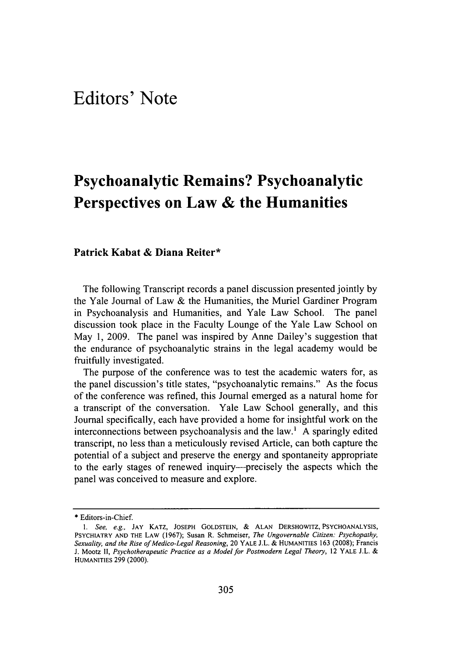# **Psychoanalytic Remains? Psychoanalytic Perspectives on Law & the Humanities**

# **Patrick Kabat & Diana Reiter\***

The following Transcript records a panel discussion presented jointly **by** the Yale Journal of Law **&** the Humanities, the Muriel Gardiner Program in Psychoanalysis and Humanities, and Yale Law School. The panel discussion took place in the Faculty Lounge of the Yale Law School on May **1, 2009.** The panel was inspired **by** Anne Dailey's suggestion that the endurance of psychoanalytic strains in the legal academy would be fruitfully investigated.

The purpose of the conference was to test the academic waters for, as the panel discussion's title states, "psychoanalytic remains." As the focus of the conference was refined, this Journal emerged as a natural home for a transcript of the conversation. Yale Law School generally, and this Journal specifically, each have provided a home for insightful work on the interconnections between psychoanalysis and the law.' **A** sparingly edited transcript, no less than a meticulously revised Article, can both capture the potential of a subject and preserve the energy and spontaneity appropriate to the early stages of renewed inquiry-precisely the aspects which the panel was conceived to measure and explore.

<sup>\*</sup> Editors-in-Chief.

*<sup>1.</sup> See, e.g.,* **JAY** KATZ, **JOSEPH GOLDSTEIN,** & **ALAN** DERSHOWITZ, **PSYCHOANALYSIS,** PSYCHIATRY **AND** THE LAW (1967); Susan R. Schmeiser, *The Ungovernable Citizen: Psychopathy, Sexuality, and the Rise of Medico-Legal Reasoning,* 20 YALE J.L. & HUMANITIES **163** (2008); Francis J. Mootz *11, Psychotherapeutic Practice as a Model for Postmodern Legal Theory,* 12 YALE J.L. & HUMANITIES 299 (2000).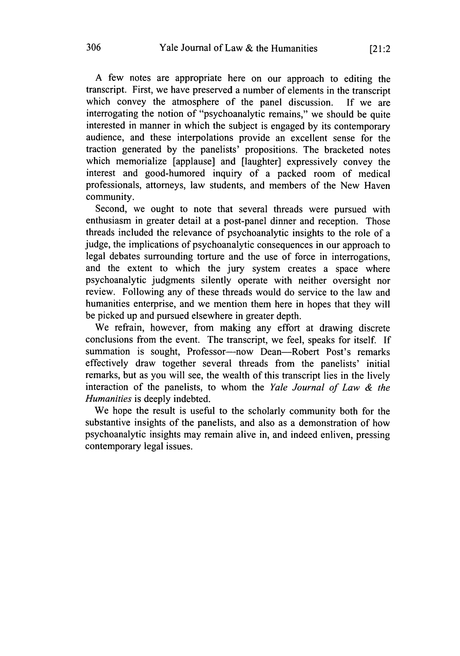A few notes are appropriate here on our approach to editing the transcript. First, we have preserved a number of elements in the transcript which convey the atmosphere of the panel discussion. If we are interrogating the notion of "psychoanalytic remains," we should be quite interested in manner in which the subject is engaged by its contemporary audience, and these interpolations provide an excellent sense for the traction generated by the panelists' propositions. The bracketed notes which memorialize [applause] and [laughter] expressively convey the interest and good-humored inquiry of a packed room of medical professionals, attorneys, law students, and members of the New Haven community.

Second, we ought to note that several threads were pursued with enthusiasm in greater detail at a post-panel dinner and reception. Those threads included the relevance of psychoanalytic insights to the role of a judge, the implications of psychoanalytic consequences in our approach to legal debates surrounding torture and the use of force in interrogations, and the extent to which the jury system creates a space where psychoanalytic judgments silently operate with neither oversight nor review. Following any of these threads would do service to the law and humanities enterprise, and we mention them here in hopes that they will be picked up and pursued elsewhere in greater depth.

We refrain, however, from making any effort at drawing discrete conclusions from the event. The transcript, we feel, speaks for itself. If summation is sought, Professor-now Dean-Robert Post's remarks effectively draw together several threads from the panelists' initial remarks, but as you will see, the wealth of this transcript lies in the lively interaction of the panelists, to whom the *Yale Journal of Law & the Humanities* is deeply indebted.

We hope the result is useful to the scholarly community both for the substantive insights of the panelists, and also as a demonstration of how psychoanalytic insights may remain alive in, and indeed enliven, pressing contemporary legal issues.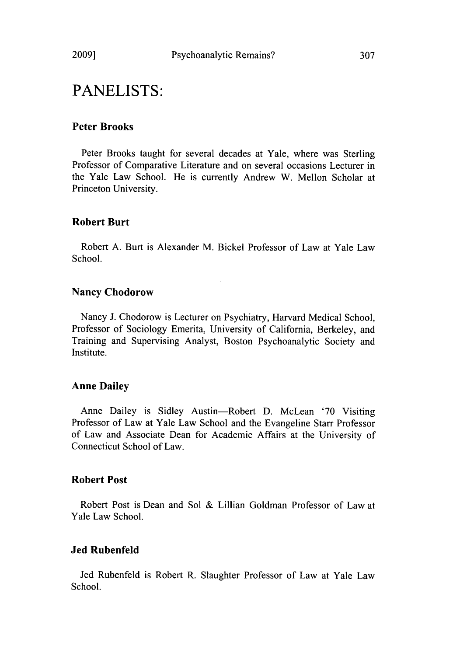# **Peter Brooks**

Peter Brooks taught for several decades at Yale, where was Sterling Professor of Comparative Literature and on several occasions Lecturer in the Yale Law School. He is currently Andrew W. Mellon Scholar at Princeton University.

## **Robert Burt**

Robert A. Burt is Alexander M. Bickel Professor of Law at Yale Law School.

## Nancy Chodorow

Nancy J. Chodorow is Lecturer on Psychiatry, Harvard Medical School, Professor of Sociology Emerita, University of California, Berkeley, and Training and Supervising Analyst, Boston Psychoanalytic Society and Institute.

#### **Anne Dailey**

Anne Dailey is Sidley Austin-Robert D. McLean '70 Visiting Professor of Law at Yale Law School and the Evangeline Starr Professor of Law and Associate Dean for Academic Affairs at the University of Connecticut School of Law.

#### **Robert Post**

Robert Post is Dean and Sol & Lillian Goldman Professor of Law at Yale Law School.

### **Jed Rubenfeld**

Jed Rubenfeld is Robert R. Slaughter Professor of Law at Yale Law School.